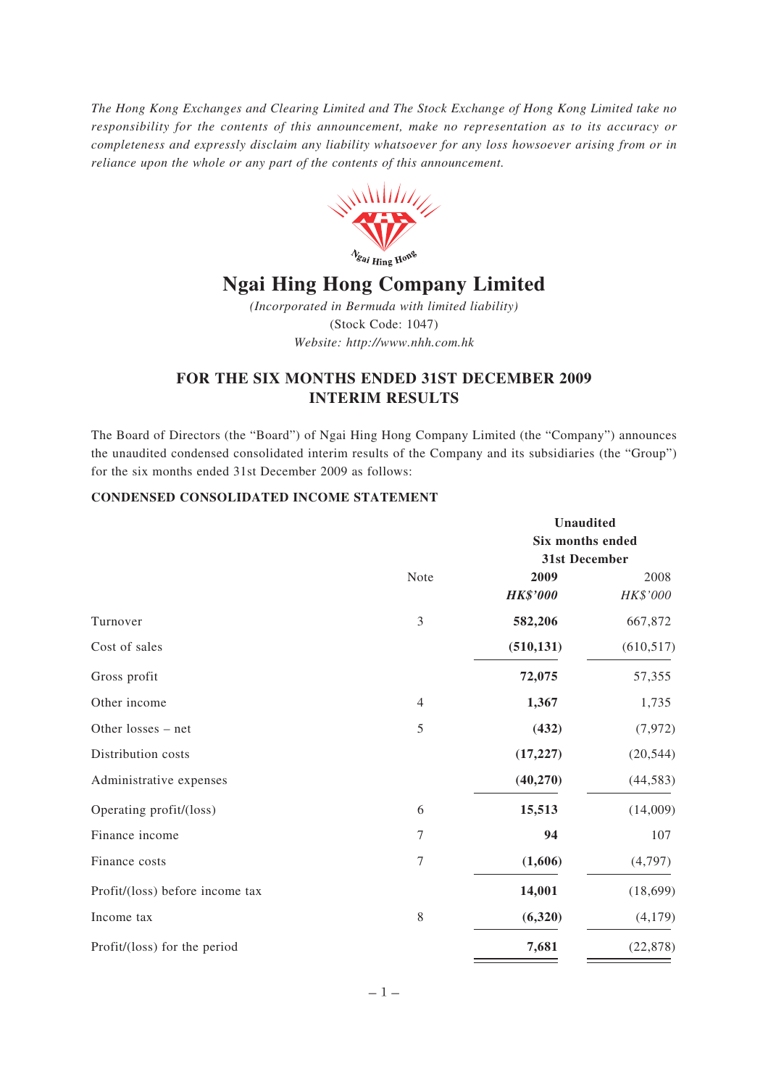*The Hong Kong Exchanges and Clearing Limited and The Stock Exchange of Hong Kong Limited take no responsibility for the contents of this announcement, make no representation as to its accuracy or completeness and expressly disclaim any liability whatsoever for any loss howsoever arising from or in reliance upon the whole or any part of the contents of this announcement.*



*(Incorporated in Bermuda with limited liability)* (Stock Code: 1047) *Website: http://www.nhh.com.hk*

# **FOR THE SIX MONTHS ENDED 31ST DECEMBER 2009 INTERIM RESULTS**

The Board of Directors (the "Board") of Ngai Hing Hong Company Limited (the "Company") announces the unaudited condensed consolidated interim results of the Company and its subsidiaries (the "Group") for the six months ended 31st December 2009 as follows:

# **CONDENSED CONSOLIDATED INCOME STATEMENT**

|                                 |                  | Unaudited<br>Six months ended<br>31st December |            |  |
|---------------------------------|------------------|------------------------------------------------|------------|--|
|                                 |                  |                                                |            |  |
|                                 | Note             | 2009                                           | 2008       |  |
|                                 |                  | <b>HK\$'000</b>                                | HK\$'000   |  |
| Turnover                        | 3                | 582,206                                        | 667,872    |  |
| Cost of sales                   |                  | (510, 131)                                     | (610, 517) |  |
| Gross profit                    |                  | 72,075                                         | 57,355     |  |
| Other income                    | $\overline{4}$   | 1,367                                          | 1,735      |  |
| Other losses - net              | 5                | (432)                                          | (7, 972)   |  |
| Distribution costs              |                  | (17, 227)                                      | (20, 544)  |  |
| Administrative expenses         |                  | (40, 270)                                      | (44, 583)  |  |
| Operating profit/(loss)         | 6                | 15,513                                         | (14,009)   |  |
| Finance income                  | 7                | 94                                             | 107        |  |
| Finance costs                   | $\boldsymbol{7}$ | (1,606)                                        | (4,797)    |  |
| Profit/(loss) before income tax |                  | 14,001                                         | (18, 699)  |  |
| Income tax                      | $\,$ 8 $\,$      | (6,320)                                        | (4,179)    |  |
| Profit/(loss) for the period    |                  | 7,681                                          | (22, 878)  |  |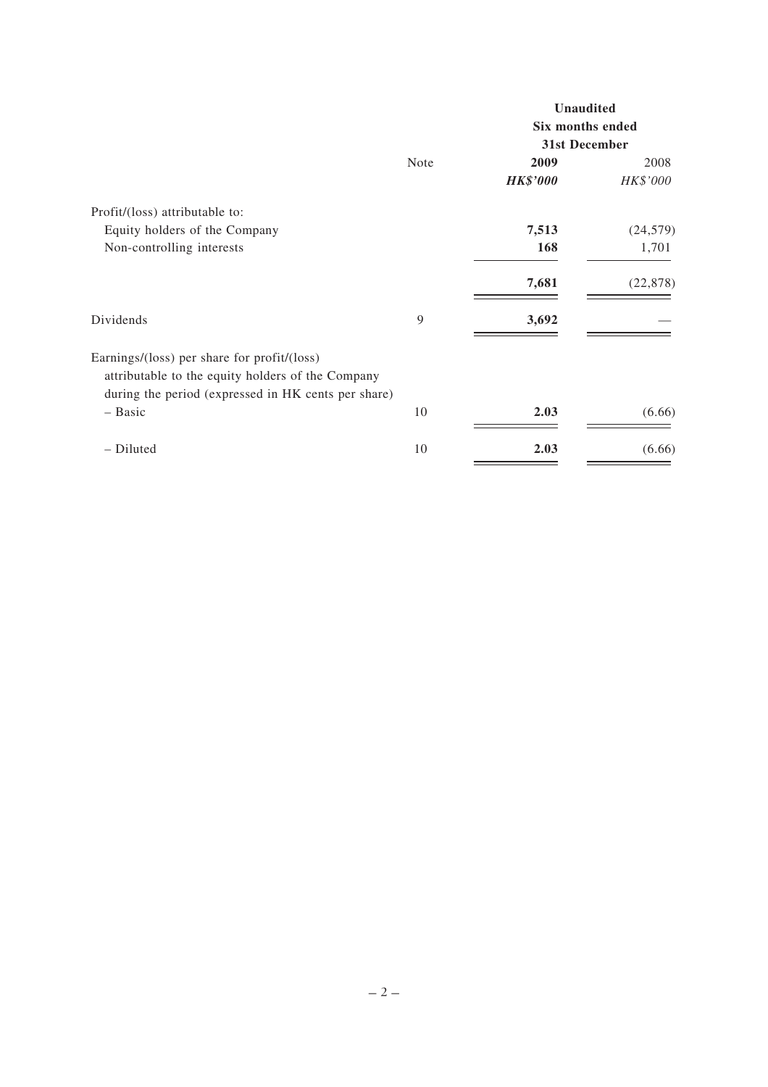|                                                                                                                                                         |             |                  | <b>Unaudited</b> |  |
|---------------------------------------------------------------------------------------------------------------------------------------------------------|-------------|------------------|------------------|--|
|                                                                                                                                                         |             | Six months ended |                  |  |
|                                                                                                                                                         |             | 31st December    |                  |  |
|                                                                                                                                                         | <b>Note</b> | 2009             | 2008             |  |
|                                                                                                                                                         |             | <b>HK\$'000</b>  | HK\$'000         |  |
| Profit/(loss) attributable to:                                                                                                                          |             |                  |                  |  |
| Equity holders of the Company                                                                                                                           |             | 7,513            | (24, 579)        |  |
| Non-controlling interests                                                                                                                               |             | 168              | 1,701            |  |
|                                                                                                                                                         |             | 7,681            | (22, 878)        |  |
| Dividends                                                                                                                                               | 9           | 3,692            |                  |  |
| Earnings/(loss) per share for profit/(loss)<br>attributable to the equity holders of the Company<br>during the period (expressed in HK cents per share) |             |                  |                  |  |
| - Basic                                                                                                                                                 | 10          | 2.03             | (6.66)           |  |
| - Diluted                                                                                                                                               | 10          | 2.03             | (6.66)           |  |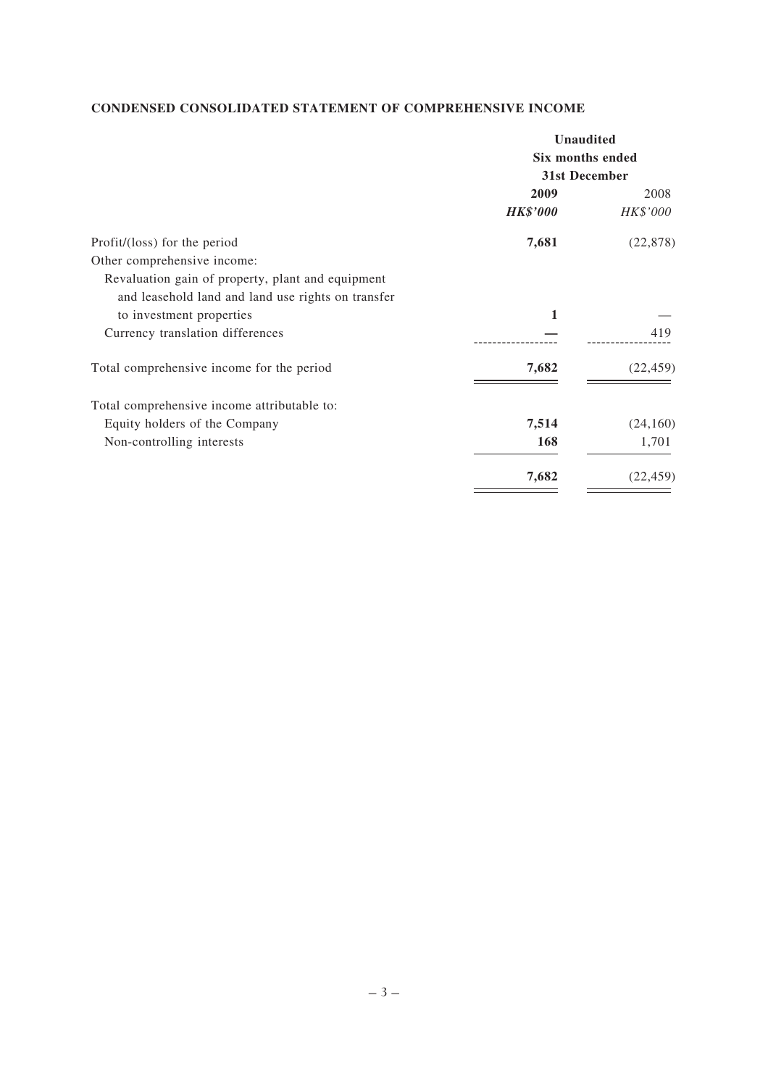# **CONDENSED CONSOLIDATED STATEMENT OF COMPREHENSIVE INCOME**

|                                                    | <b>Unaudited</b> |           |
|----------------------------------------------------|------------------|-----------|
|                                                    | Six months ended |           |
|                                                    | 31st December    |           |
|                                                    | 2009             | 2008      |
|                                                    | <b>HK\$'000</b>  | HK\$'000  |
| Profit/(loss) for the period                       | 7,681            | (22, 878) |
| Other comprehensive income:                        |                  |           |
| Revaluation gain of property, plant and equipment  |                  |           |
| and leasehold land and land use rights on transfer |                  |           |
| to investment properties                           | 1                |           |
| Currency translation differences                   |                  | 419       |
| Total comprehensive income for the period          | 7,682            | (22, 459) |
| Total comprehensive income attributable to:        |                  |           |
| Equity holders of the Company                      | 7,514            | (24,160)  |
| Non-controlling interests                          | 168              | 1,701     |
|                                                    | 7,682            | (22, 459) |
|                                                    |                  |           |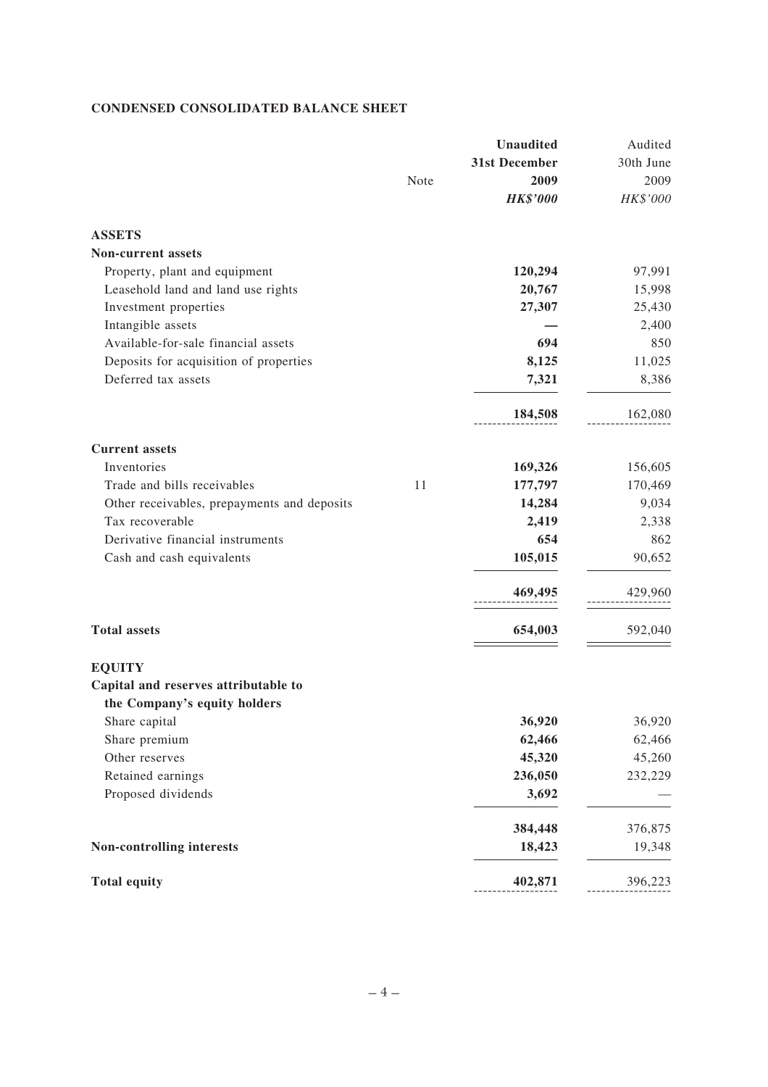# **CONDENSED CONSOLIDATED BALANCE SHEET**

|                                             | Note | <b>Unaudited</b><br>31st December<br>2009<br><b>HK\$'000</b> | Audited<br>30th June<br>2009<br>HK\$'000 |
|---------------------------------------------|------|--------------------------------------------------------------|------------------------------------------|
| <b>ASSETS</b>                               |      |                                                              |                                          |
| <b>Non-current assets</b>                   |      |                                                              |                                          |
| Property, plant and equipment               |      | 120,294                                                      | 97,991                                   |
| Leasehold land and land use rights          |      | 20,767                                                       | 15,998                                   |
| Investment properties                       |      | 27,307                                                       | 25,430                                   |
| Intangible assets                           |      |                                                              | 2,400                                    |
| Available-for-sale financial assets         |      | 694                                                          | 850                                      |
| Deposits for acquisition of properties      |      | 8,125                                                        | 11,025                                   |
| Deferred tax assets                         |      | 7,321                                                        | 8,386                                    |
|                                             |      | 184,508                                                      | 162,080                                  |
| <b>Current assets</b>                       |      |                                                              |                                          |
| Inventories                                 |      | 169,326                                                      | 156,605                                  |
| Trade and bills receivables                 | 11   | 177,797                                                      | 170,469                                  |
| Other receivables, prepayments and deposits |      | 14,284                                                       | 9,034                                    |
| Tax recoverable                             |      | 2,419                                                        | 2,338                                    |
| Derivative financial instruments            |      | 654                                                          | 862                                      |
| Cash and cash equivalents                   |      | 105,015                                                      | 90,652                                   |
|                                             |      | 469,495                                                      | 429,960                                  |
| <b>Total assets</b>                         |      | 654,003                                                      | 592,040                                  |
| <b>EQUITY</b>                               |      |                                                              |                                          |
| Capital and reserves attributable to        |      |                                                              |                                          |
| the Company's equity holders                |      |                                                              |                                          |
| Share capital                               |      | 36,920                                                       | 36,920                                   |
| Share premium                               |      | 62,466                                                       | 62,466                                   |
| Other reserves                              |      | 45,320                                                       | 45,260                                   |
| Retained earnings                           |      | 236,050                                                      | 232,229                                  |
| Proposed dividends                          |      | 3,692                                                        |                                          |
|                                             |      | 384,448                                                      | 376,875                                  |
| <b>Non-controlling interests</b>            |      | 18,423                                                       | 19,348                                   |
| <b>Total equity</b>                         |      | 402,871                                                      | 396,223                                  |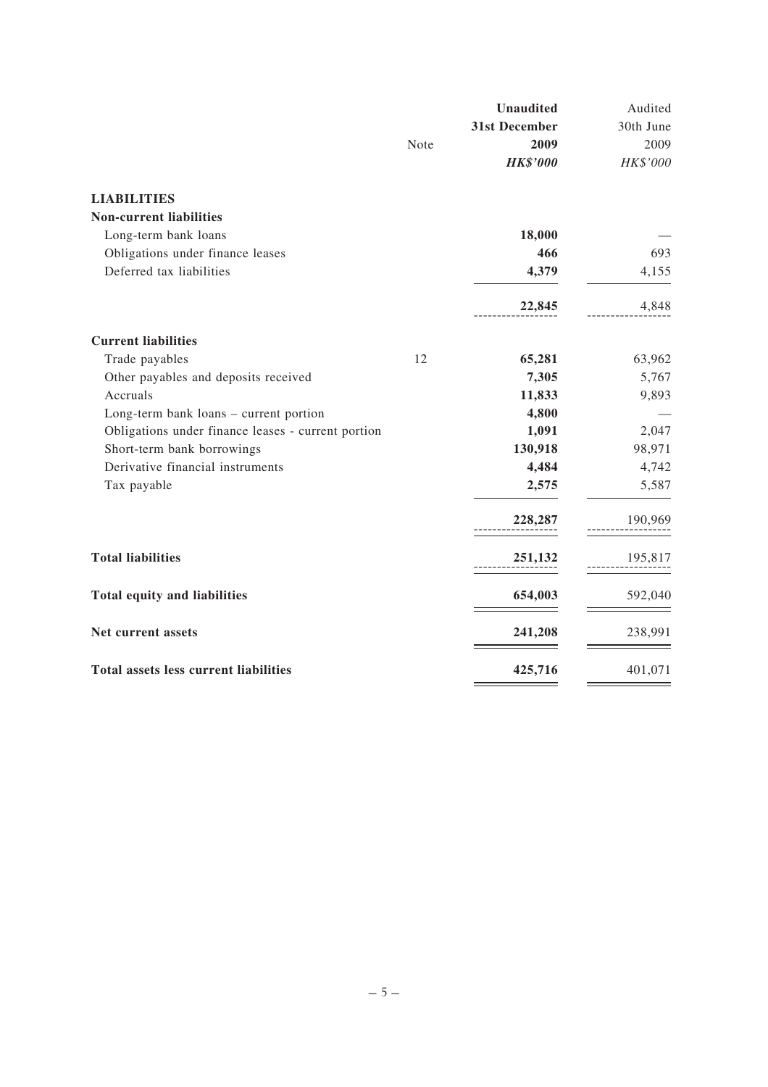|                                                    | Note | <b>Unaudited</b><br>31st December<br>2009 | Audited<br>30th June<br>2009 |
|----------------------------------------------------|------|-------------------------------------------|------------------------------|
|                                                    |      | <b>HK\$'000</b>                           | HK\$'000                     |
| <b>LIABILITIES</b>                                 |      |                                           |                              |
| <b>Non-current liabilities</b>                     |      |                                           |                              |
| Long-term bank loans                               |      | 18,000                                    |                              |
| Obligations under finance leases                   |      | 466                                       | 693                          |
| Deferred tax liabilities                           |      | 4,379                                     | 4,155                        |
|                                                    |      | 22,845                                    | 4,848                        |
| <b>Current liabilities</b>                         |      |                                           |                              |
| Trade payables                                     | 12   | 65,281                                    | 63,962                       |
| Other payables and deposits received               |      | 7,305                                     | 5,767                        |
| Accruals                                           |      | 11,833                                    | 9,893                        |
| Long-term bank loans - current portion             |      | 4,800                                     |                              |
| Obligations under finance leases - current portion |      | 1,091                                     | 2,047                        |
| Short-term bank borrowings                         |      | 130,918                                   | 98,971                       |
| Derivative financial instruments                   |      | 4,484                                     | 4,742                        |
| Tax payable                                        |      | 2,575                                     | 5,587                        |
|                                                    |      | 228,287                                   | 190,969                      |
| <b>Total liabilities</b>                           |      | 251,132                                   | 195,817                      |
| Total equity and liabilities                       |      | 654,003                                   | 592,040                      |
| Net current assets                                 |      | 241,208                                   | 238,991                      |
| <b>Total assets less current liabilities</b>       |      | 425,716                                   | 401,071                      |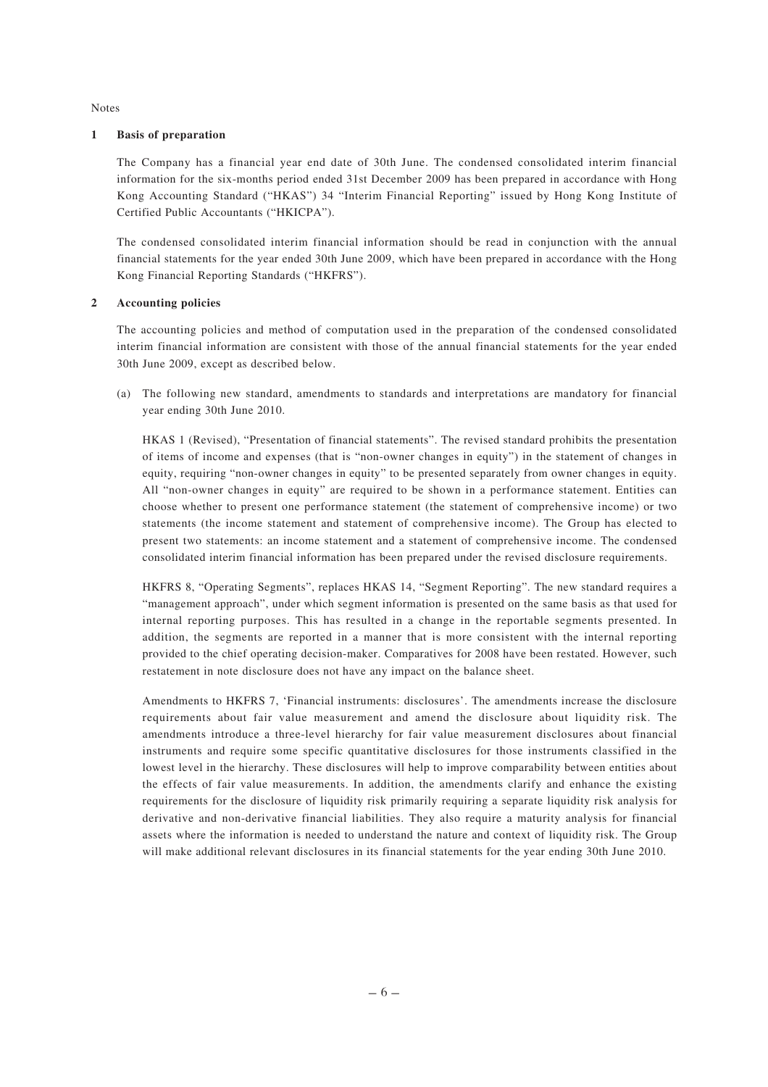Notes

#### **1 Basis of preparation**

The Company has a financial year end date of 30th June. The condensed consolidated interim financial information for the six-months period ended 31st December 2009 has been prepared in accordance with Hong Kong Accounting Standard ("HKAS") 34 "Interim Financial Reporting" issued by Hong Kong Institute of Certified Public Accountants ("HKICPA").

The condensed consolidated interim financial information should be read in conjunction with the annual financial statements for the year ended 30th June 2009, which have been prepared in accordance with the Hong Kong Financial Reporting Standards ("HKFRS").

#### **2 Accounting policies**

The accounting policies and method of computation used in the preparation of the condensed consolidated interim financial information are consistent with those of the annual financial statements for the year ended 30th June 2009, except as described below.

(a) The following new standard, amendments to standards and interpretations are mandatory for financial year ending 30th June 2010.

HKAS 1 (Revised), "Presentation of financial statements". The revised standard prohibits the presentation of items of income and expenses (that is "non-owner changes in equity") in the statement of changes in equity, requiring "non-owner changes in equity" to be presented separately from owner changes in equity. All "non-owner changes in equity" are required to be shown in a performance statement. Entities can choose whether to present one performance statement (the statement of comprehensive income) or two statements (the income statement and statement of comprehensive income). The Group has elected to present two statements: an income statement and a statement of comprehensive income. The condensed consolidated interim financial information has been prepared under the revised disclosure requirements.

HKFRS 8, "Operating Segments", replaces HKAS 14, "Segment Reporting". The new standard requires a "management approach", under which segment information is presented on the same basis as that used for internal reporting purposes. This has resulted in a change in the reportable segments presented. In addition, the segments are reported in a manner that is more consistent with the internal reporting provided to the chief operating decision-maker. Comparatives for 2008 have been restated. However, such restatement in note disclosure does not have any impact on the balance sheet.

Amendments to HKFRS 7, 'Financial instruments: disclosures'. The amendments increase the disclosure requirements about fair value measurement and amend the disclosure about liquidity risk. The amendments introduce a three-level hierarchy for fair value measurement disclosures about financial instruments and require some specific quantitative disclosures for those instruments classified in the lowest level in the hierarchy. These disclosures will help to improve comparability between entities about the effects of fair value measurements. In addition, the amendments clarify and enhance the existing requirements for the disclosure of liquidity risk primarily requiring a separate liquidity risk analysis for derivative and non-derivative financial liabilities. They also require a maturity analysis for financial assets where the information is needed to understand the nature and context of liquidity risk. The Group will make additional relevant disclosures in its financial statements for the year ending 30th June 2010.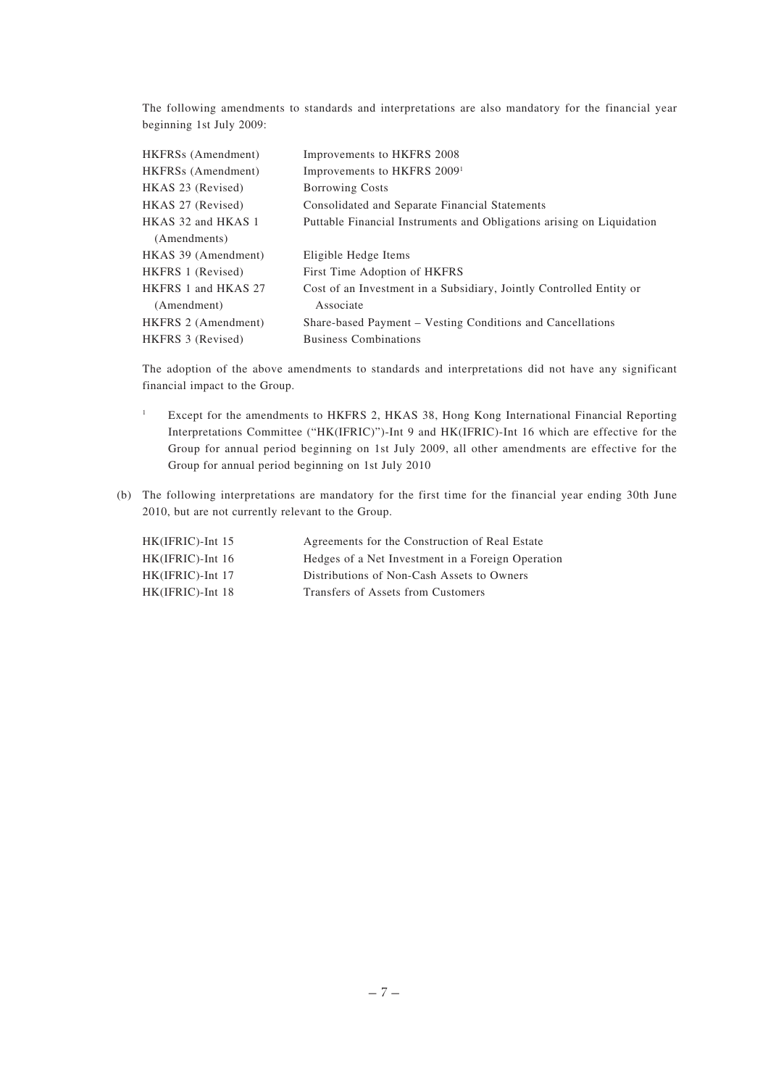The following amendments to standards and interpretations are also mandatory for the financial year beginning 1st July 2009:

| HKFRS <sub>s</sub> (Amendment) | Improvements to HKFRS 2008                                            |
|--------------------------------|-----------------------------------------------------------------------|
| HKFRSs (Amendment)             | Improvements to HKFRS 2009 <sup>1</sup>                               |
| HKAS 23 (Revised)              | <b>Borrowing Costs</b>                                                |
| HKAS 27 (Revised)              | Consolidated and Separate Financial Statements                        |
| HKAS 32 and HKAS 1             | Puttable Financial Instruments and Obligations arising on Liquidation |
| (Amendments)                   |                                                                       |
| HKAS 39 (Amendment)            | Eligible Hedge Items                                                  |
| HKFRS 1 (Revised)              | First Time Adoption of HKFRS                                          |
| HKFRS 1 and HKAS 27            | Cost of an Investment in a Subsidiary, Jointly Controlled Entity or   |
| (Amendment)                    | Associate                                                             |
| HKFRS 2 (Amendment)            | Share-based Payment – Vesting Conditions and Cancellations            |
| HKFRS 3 (Revised)              | <b>Business Combinations</b>                                          |

The adoption of the above amendments to standards and interpretations did not have any significant financial impact to the Group.

- <sup>1</sup> Except for the amendments to HKFRS 2, HKAS 38, Hong Kong International Financial Reporting Interpretations Committee ("HK(IFRIC)")-Int 9 and HK(IFRIC)-Int 16 which are effective for the Group for annual period beginning on 1st July 2009, all other amendments are effective for the Group for annual period beginning on 1st July 2010
- (b) The following interpretations are mandatory for the first time for the financial year ending 30th June 2010, but are not currently relevant to the Group.

| $HK(IFRIC)$ -Int 15 | Agreements for the Construction of Real Estate    |
|---------------------|---------------------------------------------------|
| $HK(IFRIC)$ -Int 16 | Hedges of a Net Investment in a Foreign Operation |
| $HK(IFRIC)$ -Int 17 | Distributions of Non-Cash Assets to Owners        |
| $HK(IFRIC)$ -Int 18 | Transfers of Assets from Customers                |
|                     |                                                   |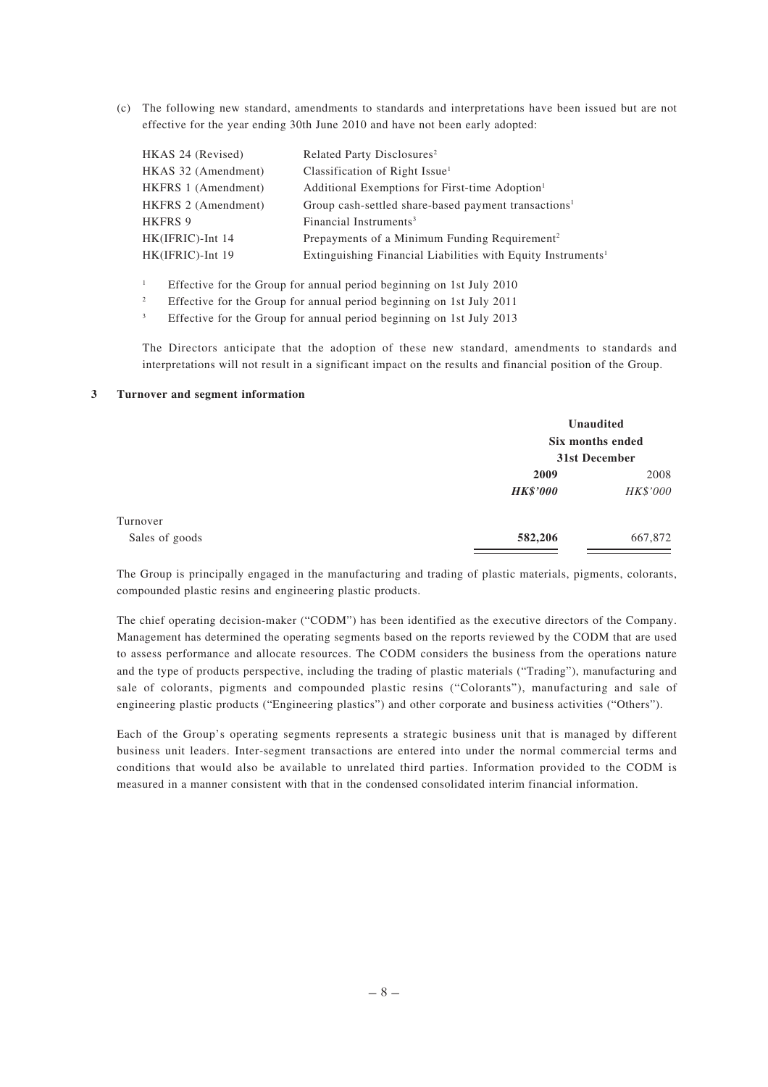(c) The following new standard, amendments to standards and interpretations have been issued but are not effective for the year ending 30th June 2010 and have not been early adopted:

| HKAS 24 (Revised)   | Related Party Disclosures <sup>2</sup>                                   |
|---------------------|--------------------------------------------------------------------------|
| HKAS 32 (Amendment) | Classification of Right Issue <sup>1</sup>                               |
| HKFRS 1 (Amendment) | Additional Exemptions for First-time Adoption <sup>1</sup>               |
| HKFRS 2 (Amendment) | Group cash-settled share-based payment transactions <sup>1</sup>         |
| <b>HKFRS 9</b>      | Financial Instruments <sup>3</sup>                                       |
| HK(IFRIC)-Int 14    | Prepayments of a Minimum Funding Requirement <sup>2</sup>                |
| HK(IFRIC)-Int 19    | Extinguishing Financial Liabilities with Equity Instruments <sup>1</sup> |

<sup>1</sup> Effective for the Group for annual period beginning on 1st July 2010

<sup>2</sup> Effective for the Group for annual period beginning on 1st July 2011

<sup>3</sup> Effective for the Group for annual period beginning on 1st July 2013

The Directors anticipate that the adoption of these new standard, amendments to standards and interpretations will not result in a significant impact on the results and financial position of the Group.

#### **3 Turnover and segment information**

|                |                 | Unaudited<br>Six months ended |  |
|----------------|-----------------|-------------------------------|--|
|                |                 | 31st December                 |  |
|                | 2009            | 2008                          |  |
|                | <b>HK\$'000</b> | HK\$'000                      |  |
| Turnover       |                 |                               |  |
| Sales of goods | 582,206         | 667,872                       |  |

The Group is principally engaged in the manufacturing and trading of plastic materials, pigments, colorants, compounded plastic resins and engineering plastic products.

The chief operating decision-maker ("CODM") has been identified as the executive directors of the Company. Management has determined the operating segments based on the reports reviewed by the CODM that are used to assess performance and allocate resources. The CODM considers the business from the operations nature and the type of products perspective, including the trading of plastic materials ("Trading"), manufacturing and sale of colorants, pigments and compounded plastic resins ("Colorants"), manufacturing and sale of engineering plastic products ("Engineering plastics") and other corporate and business activities ("Others").

Each of the Group's operating segments represents a strategic business unit that is managed by different business unit leaders. Inter-segment transactions are entered into under the normal commercial terms and conditions that would also be available to unrelated third parties. Information provided to the CODM is measured in a manner consistent with that in the condensed consolidated interim financial information.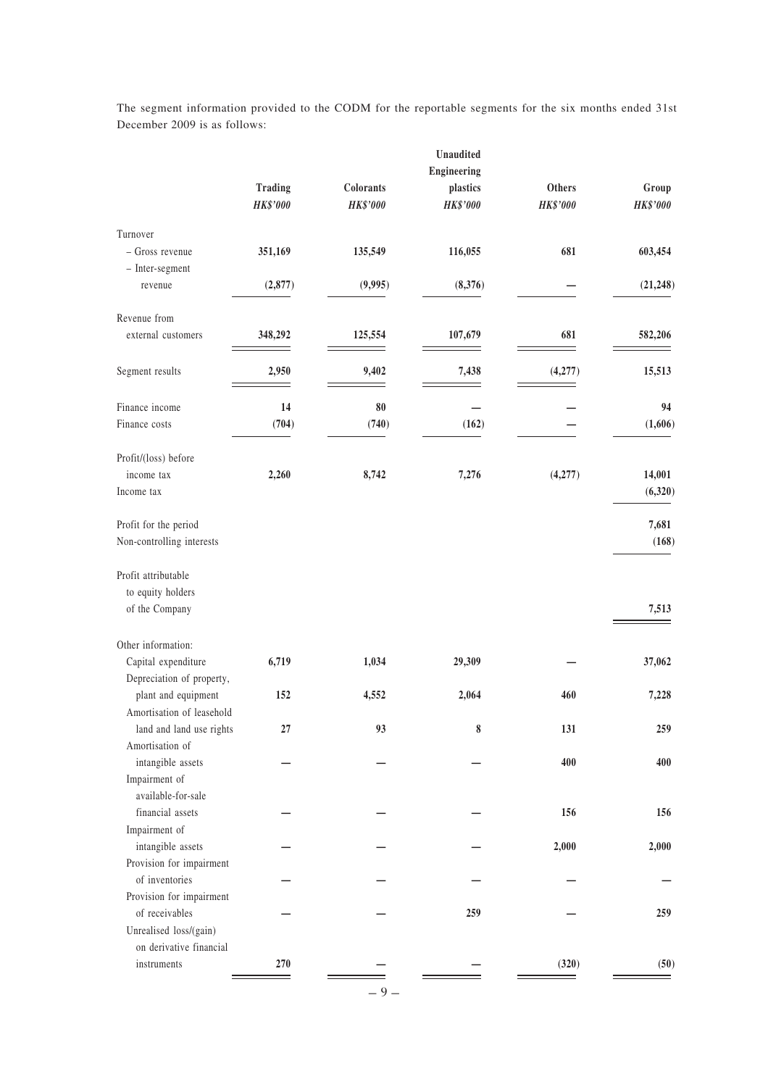|                                             |                                   |                                     | Unaudited            |                           |                           |
|---------------------------------------------|-----------------------------------|-------------------------------------|----------------------|---------------------------|---------------------------|
|                                             |                                   |                                     | Engineering          |                           |                           |
|                                             | <b>Trading</b><br><b>HK\$'000</b> | <b>Colorants</b><br><b>HK\$'000</b> | plastics<br>HK\$'000 | Others<br><b>HK\$'000</b> | Group<br>$HK$^{\circ}000$ |
| Turnover                                    |                                   |                                     |                      |                           |                           |
| - Gross revenue                             | 351,169                           | 135,549                             | 116,055              | 681                       | 603,454                   |
| - Inter-segment                             |                                   |                                     |                      |                           |                           |
| revenue                                     | (2, 877)                          | (9,995)                             | (8,376)              |                           | (21, 248)                 |
| Revenue from                                |                                   |                                     |                      |                           |                           |
| external customers                          | 348,292                           | 125,554                             | 107,679              | 681                       | 582,206                   |
| Segment results                             | 2,950                             | 9,402                               | 7,438                | (4,277)                   | 15,513                    |
| Finance income                              | 14                                | 80                                  |                      |                           | 94                        |
| Finance costs                               | (704)                             | (740)                               | (162)                |                           | (1,606)                   |
| Profit/(loss) before                        |                                   |                                     |                      |                           |                           |
| income tax                                  | 2,260                             | 8,742                               | 7,276                | (4,277)                   | 14,001                    |
| Income tax                                  |                                   |                                     |                      |                           | (6,320)                   |
| Profit for the period                       |                                   |                                     |                      |                           | 7,681                     |
| Non-controlling interests                   |                                   |                                     |                      |                           | (168)                     |
|                                             |                                   |                                     |                      |                           |                           |
| Profit attributable                         |                                   |                                     |                      |                           |                           |
| to equity holders                           |                                   |                                     |                      |                           |                           |
| of the Company                              |                                   |                                     |                      |                           | 7,513                     |
| Other information:                          |                                   |                                     |                      |                           |                           |
| Capital expenditure                         | 6,719                             | 1,034                               | 29,309               |                           | 37,062                    |
| Depreciation of property,                   |                                   |                                     |                      |                           |                           |
| plant and equipment                         | 152                               | 4,552                               | 2,064                | 460                       | 7,228                     |
| Amortisation of leasehold                   |                                   |                                     |                      |                           |                           |
| land and land use rights<br>Amortisation of | 27                                | 93                                  | 8                    | 131                       | 259                       |
| intangible assets                           |                                   |                                     |                      | 400                       | 400                       |
| Impairment of                               |                                   |                                     |                      |                           |                           |
| available-for-sale                          |                                   |                                     |                      |                           |                           |
| financial assets                            |                                   |                                     |                      | 156                       | 156                       |
| Impairment of                               |                                   |                                     |                      |                           |                           |
| intangible assets                           |                                   |                                     |                      | 2,000                     | 2,000                     |
| Provision for impairment                    |                                   |                                     |                      |                           |                           |
| of inventories                              |                                   |                                     |                      |                           |                           |
| Provision for impairment                    |                                   |                                     |                      |                           |                           |
| of receivables                              |                                   |                                     | 259                  |                           | 259                       |
| Unrealised loss/(gain)                      |                                   |                                     |                      |                           |                           |
| on derivative financial                     |                                   |                                     |                      |                           |                           |
| instruments                                 | 270                               |                                     |                      | (320)                     | (50)                      |
|                                             |                                   |                                     |                      |                           |                           |

The segment information provided to the CODM for the reportable segments for the six months ended 31st December 2009 is as follows:

– **9** –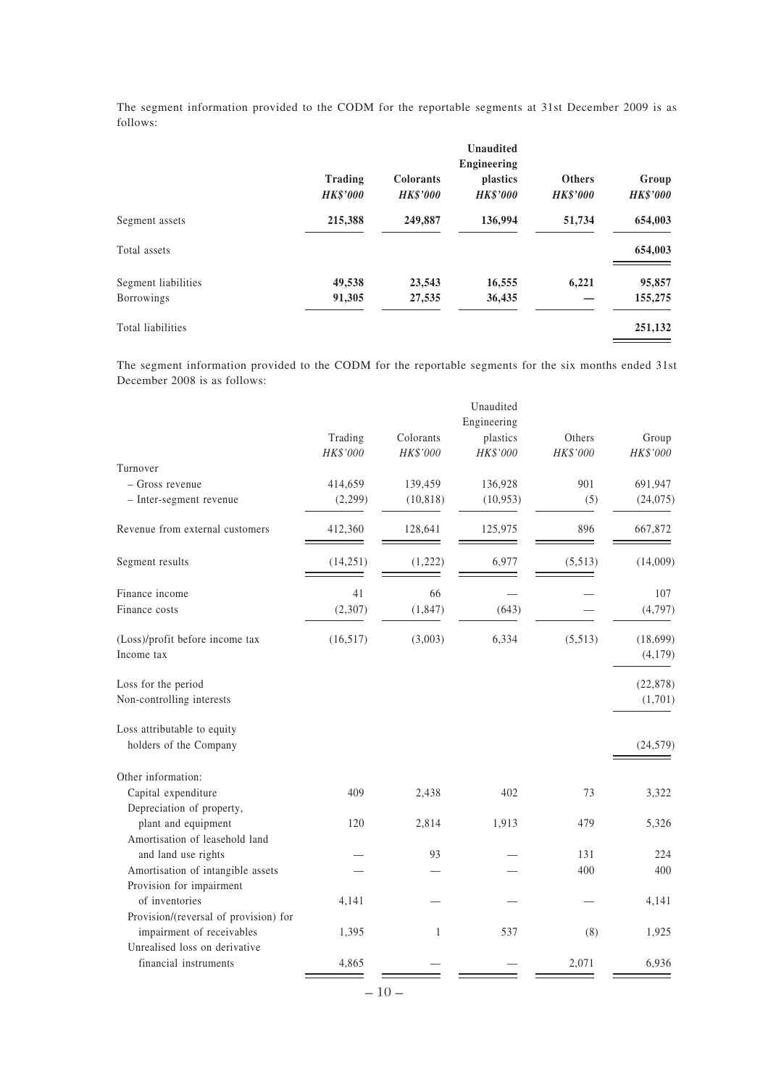The segment information provided to the CODM for the reportable segments at 31st December 2009 is as follows:

|                     | Trading<br><b>HK\$'000</b> | <b>Colorants</b><br><b>HK\$'000</b> | Unaudited<br>Engineering<br><i>plastics</i><br><b>HK\$'000</b> | <b>Others</b><br><b>HK\$'000</b> | Group<br><b>HK\$'000</b> |
|---------------------|----------------------------|-------------------------------------|----------------------------------------------------------------|----------------------------------|--------------------------|
| Segment assets      | 215,388                    | 249,887                             | 136,994                                                        | 51,734                           | 654,003                  |
| Total assets        |                            |                                     |                                                                |                                  | 654,003                  |
| Segment liabilities | 49,538                     | 23,543                              | 16,555                                                         | 6,221                            | 95,857                   |
| Borrowings          | 91,305                     | 27,535                              | 36,435                                                         |                                  | 155,275                  |
| Total liabilities   |                            |                                     |                                                                |                                  | 251,132                  |

The segment information provided to the CODM for the reportable segments for the six months ended 31st December 2008 is as follows:

|                                                                    |                     |                       | Unaudited<br>Engineering |                    |                     |
|--------------------------------------------------------------------|---------------------|-----------------------|--------------------------|--------------------|---------------------|
|                                                                    | Trading<br>HK\$'000 | Colorants<br>HK\$'000 | plastics<br>HK\$'000     | Others<br>HK\$'000 | Group<br>HK\$'000   |
| Turnover                                                           |                     |                       |                          |                    |                     |
| - Gross revenue                                                    | 414,659             | 139,459               | 136,928                  | 901                | 691,947             |
| - Inter-segment revenue                                            | (2,299)             | (10, 818)             | (10, 953)                | (5)                | (24,075)            |
| Revenue from external customers                                    | 412,360             | 128,641               | 125,975                  | 896                | 667,872             |
| Segment results                                                    | (14,251)            | (1,222)               | 6,977                    | (5,513)            | (14,009)            |
| Finance income                                                     | 41                  | 66                    |                          |                    | 107                 |
| Finance costs                                                      | (2,307)             | (1, 847)              | (643)                    |                    | (4,797)             |
| (Loss)/profit before income tax<br>Income tax                      | (16,517)            | (3,003)               | 6,334                    | (5,513)            | (18,699)<br>(4,179) |
| Loss for the period                                                |                     |                       |                          |                    | (22, 878)           |
| Non-controlling interests                                          |                     |                       |                          |                    | (1,701)             |
| Loss attributable to equity<br>holders of the Company              |                     |                       |                          |                    | (24, 579)           |
| Other information:                                                 |                     |                       |                          |                    |                     |
| Capital expenditure                                                | 409                 | 2,438                 | 402                      | 73                 | 3,322               |
| Depreciation of property,                                          |                     |                       |                          |                    |                     |
| plant and equipment                                                | 120                 | 2,814                 | 1,913                    | 479                | 5,326               |
| Amortisation of leasehold land                                     |                     |                       |                          |                    |                     |
| and land use rights                                                |                     | 93                    |                          | 131                | 224                 |
| Amortisation of intangible assets                                  |                     |                       |                          | 400                | 400                 |
| Provision for impairment                                           |                     |                       |                          |                    |                     |
| of inventories                                                     | 4,141               |                       |                          |                    | 4,141               |
| Provision/(reversal of provision) for<br>impairment of receivables | 1,395               | 1                     | 537                      | (8)                | 1,925               |
| Unrealised loss on derivative                                      |                     |                       |                          |                    |                     |
| financial instruments                                              | 4,865               |                       |                          | 2,071              | 6,936               |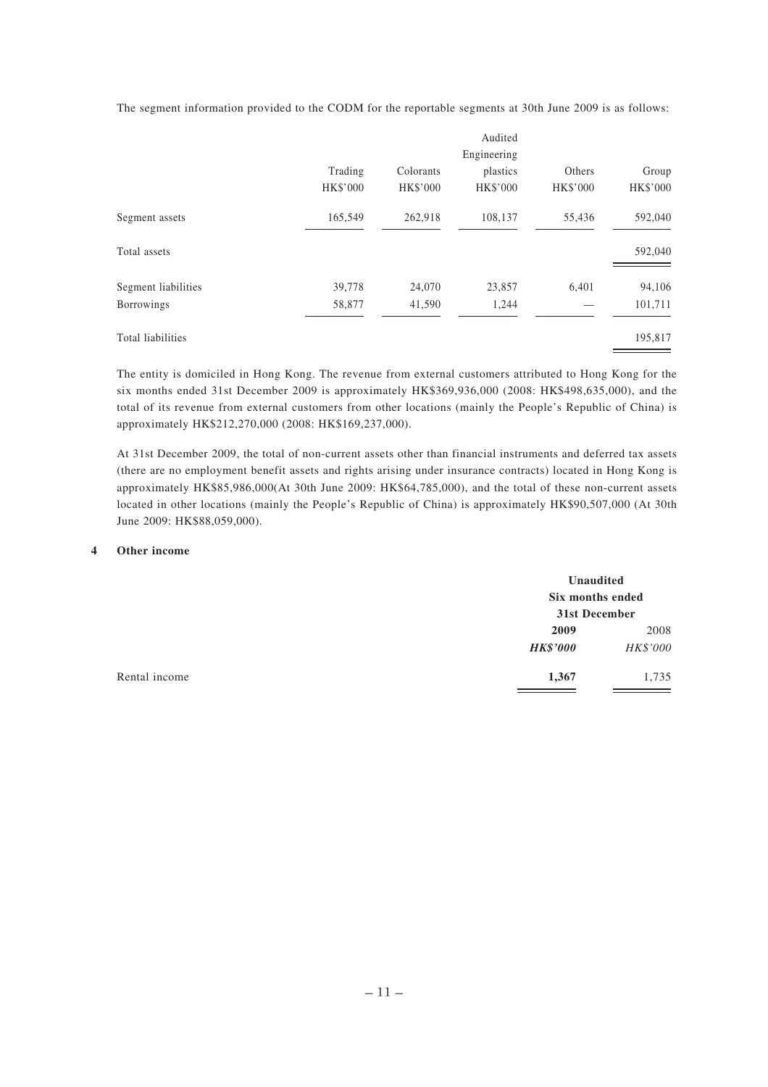Audited Engineering Trading Colorants plastics Others Group HK\$'000 HK\$'000 HK\$'000 HK\$'000 HK\$'000 Segment assets 165,549 262,918 108,137 55,436 592,040

Total assets 592,040

Segment liabilities 39,778 24,070 23,857 6,401 94,106 Borrowings 58,877 41,590 1,244 — 101,711

Total liabilities 195,817

The segment information provided to the CODM for the reportable segments at 30th June 2009 is as follows:

The entity is domiciled in Hong Kong. The revenue from external customers attributed to Hong Kong for the six months ended 31st December 2009 is approximately HK\$369,936,000 (2008: HK\$498,635,000), and the total of its revenue from external customers from other locations (mainly the People's Republic of China) is approximately HK\$212,270,000 (2008: HK\$169,237,000).

At 31st December 2009, the total of non-current assets other than financial instruments and deferred tax assets (there are no employment benefit assets and rights arising under insurance contracts) located in Hong Kong is approximately HK\$85,986,000(At 30th June 2009: HK\$64,785,000), and the total of these non-current assets located in other locations (mainly the People's Republic of China) is approximately HK\$90,507,000 (At 30th June 2009: HK\$88,059,000).

# **4 Other income**

|               |                 | Unaudited<br>Six months ended |  |
|---------------|-----------------|-------------------------------|--|
|               |                 |                               |  |
|               | 31st December   |                               |  |
|               | 2009            | 2008                          |  |
|               | <b>HK\$'000</b> | HK\$'000                      |  |
| Rental income | 1,367           | 1,735                         |  |
|               |                 |                               |  |

– **11** –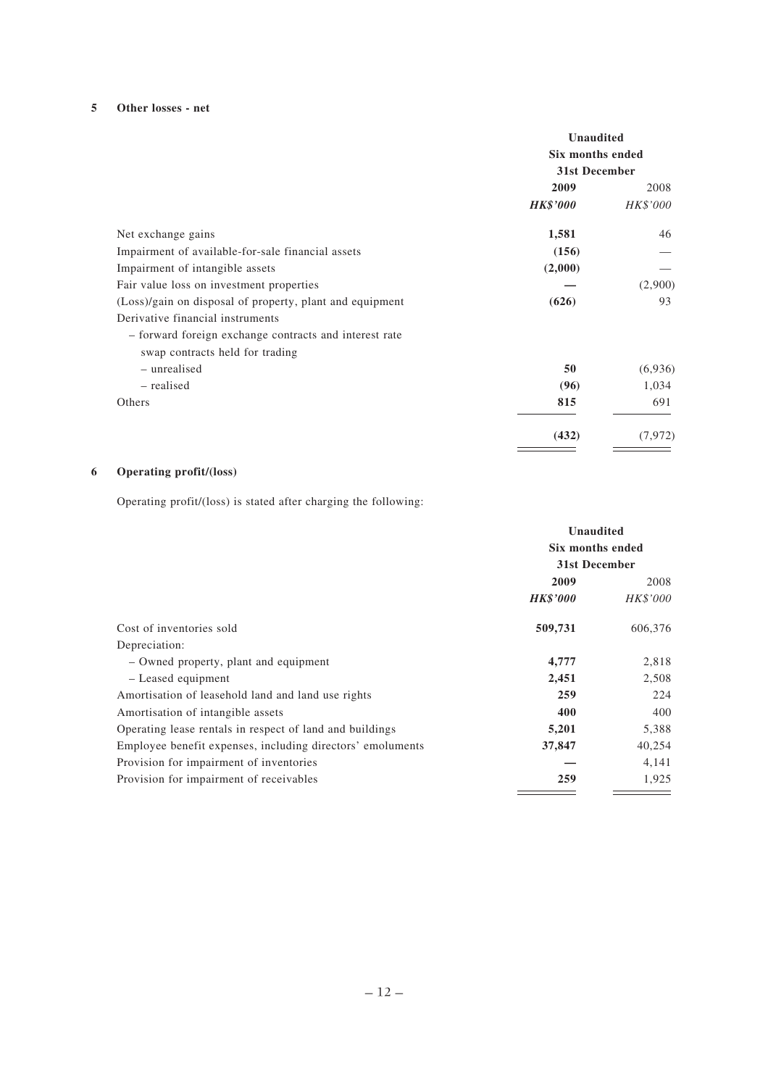# **5 Other losses - net**

|                                                          | <b>Unaudited</b><br>Six months ended<br>31st December |          |
|----------------------------------------------------------|-------------------------------------------------------|----------|
|                                                          |                                                       |          |
|                                                          | 2009                                                  | 2008     |
|                                                          | <b>HK\$'000</b>                                       | HK\$'000 |
| Net exchange gains                                       | 1,581                                                 | 46       |
| Impairment of available-for-sale financial assets        | (156)                                                 |          |
| Impairment of intangible assets                          | (2,000)                                               |          |
| Fair value loss on investment properties                 |                                                       | (2,900)  |
| (Loss)/gain on disposal of property, plant and equipment | (626)                                                 | 93       |
| Derivative financial instruments                         |                                                       |          |
| - forward foreign exchange contracts and interest rate   |                                                       |          |
| swap contracts held for trading                          |                                                       |          |
| - unrealised                                             | 50                                                    | (6,936)  |
| – realised                                               | (96)                                                  | 1,034    |
| Others                                                   | 815                                                   | 691      |
|                                                          | (432)                                                 | (7, 972) |

# **6 Operating profit/(loss)**

Operating profit/(loss) is stated after charging the following:

|                                                            | <b>Unaudited</b> |          |
|------------------------------------------------------------|------------------|----------|
|                                                            | Six months ended |          |
|                                                            | 31st December    |          |
|                                                            | 2009             | 2008     |
|                                                            | <b>HK\$'000</b>  | HK\$'000 |
| Cost of inventories sold                                   | 509,731          | 606,376  |
| Depreciation:                                              |                  |          |
| - Owned property, plant and equipment                      | 4,777            | 2,818    |
| - Leased equipment                                         | 2,451            | 2,508    |
| Amortisation of leasehold land and land use rights         | 259              | 224      |
| Amortisation of intangible assets                          | 400              | 400      |
| Operating lease rentals in respect of land and buildings   | 5,201            | 5,388    |
| Employee benefit expenses, including directors' emoluments | 37,847           | 40,254   |
| Provision for impairment of inventories                    |                  | 4,141    |
| Provision for impairment of receivables                    | 259              | 1,925    |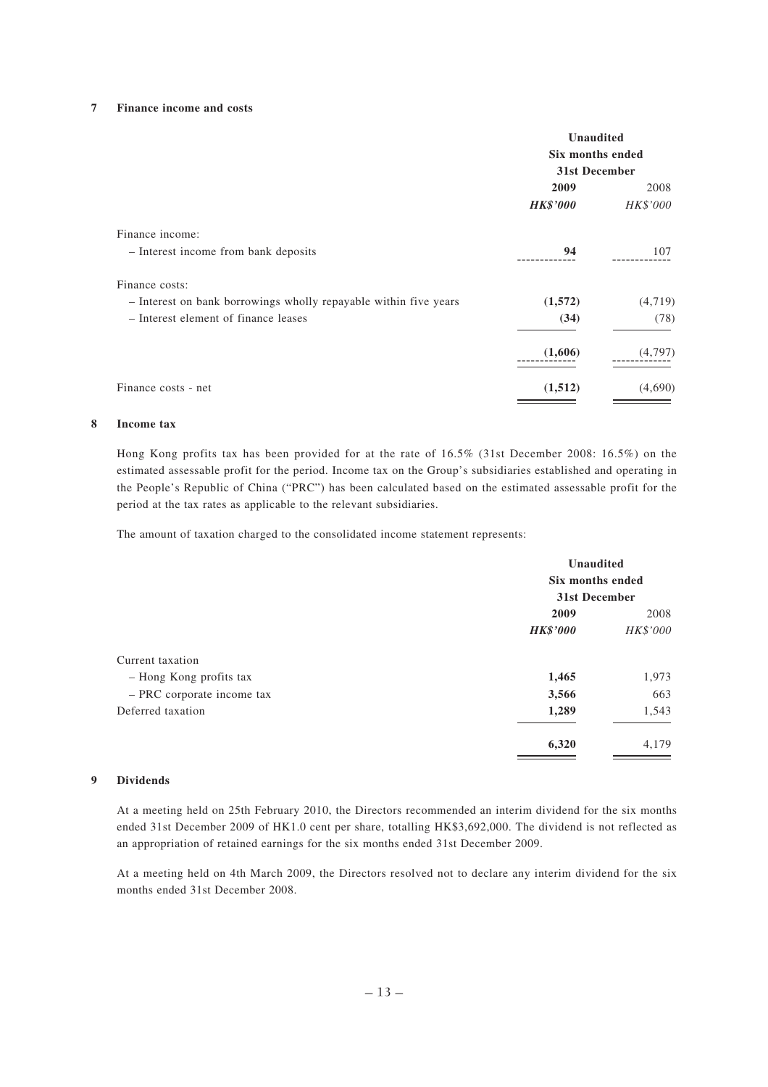#### **7 Finance income and costs**

|                                                                  | <b>Unaudited</b><br>Six months ended<br>31st December |                 |
|------------------------------------------------------------------|-------------------------------------------------------|-----------------|
|                                                                  | 2009                                                  | 2008            |
|                                                                  | <b>HK\$'000</b>                                       | <i>HK\$'000</i> |
| Finance income:                                                  |                                                       |                 |
| - Interest income from bank deposits                             | 94                                                    | 107             |
| Finance costs:                                                   |                                                       |                 |
| - Interest on bank borrowings wholly repayable within five years | (1,572)                                               | (4,719)         |
| - Interest element of finance leases                             | (34)                                                  | (78)            |
|                                                                  | (1,606)                                               | (4,797)         |
| Finance costs - net                                              | (1,512)                                               | (4,690)         |

#### **8 Income tax**

Hong Kong profits tax has been provided for at the rate of 16.5% (31st December 2008: 16.5%) on the estimated assessable profit for the period. Income tax on the Group's subsidiaries established and operating in the People's Republic of China ("PRC") has been calculated based on the estimated assessable profit for the period at the tax rates as applicable to the relevant subsidiaries.

The amount of taxation charged to the consolidated income statement represents:

|                            | Unaudited<br>Six months ended<br>31st December |          |
|----------------------------|------------------------------------------------|----------|
|                            |                                                |          |
|                            |                                                |          |
|                            | 2009                                           | 2008     |
|                            | <b>HK\$'000</b>                                | HK\$'000 |
| Current taxation           |                                                |          |
| - Hong Kong profits tax    | 1,465                                          | 1,973    |
| - PRC corporate income tax | 3,566                                          | 663      |
| Deferred taxation          | 1,289                                          | 1,543    |
|                            | 6,320                                          | 4,179    |

## **9 Dividends**

At a meeting held on 25th February 2010, the Directors recommended an interim dividend for the six months ended 31st December 2009 of HK1.0 cent per share, totalling HK\$3,692,000. The dividend is not reflected as an appropriation of retained earnings for the six months ended 31st December 2009.

At a meeting held on 4th March 2009, the Directors resolved not to declare any interim dividend for the six months ended 31st December 2008.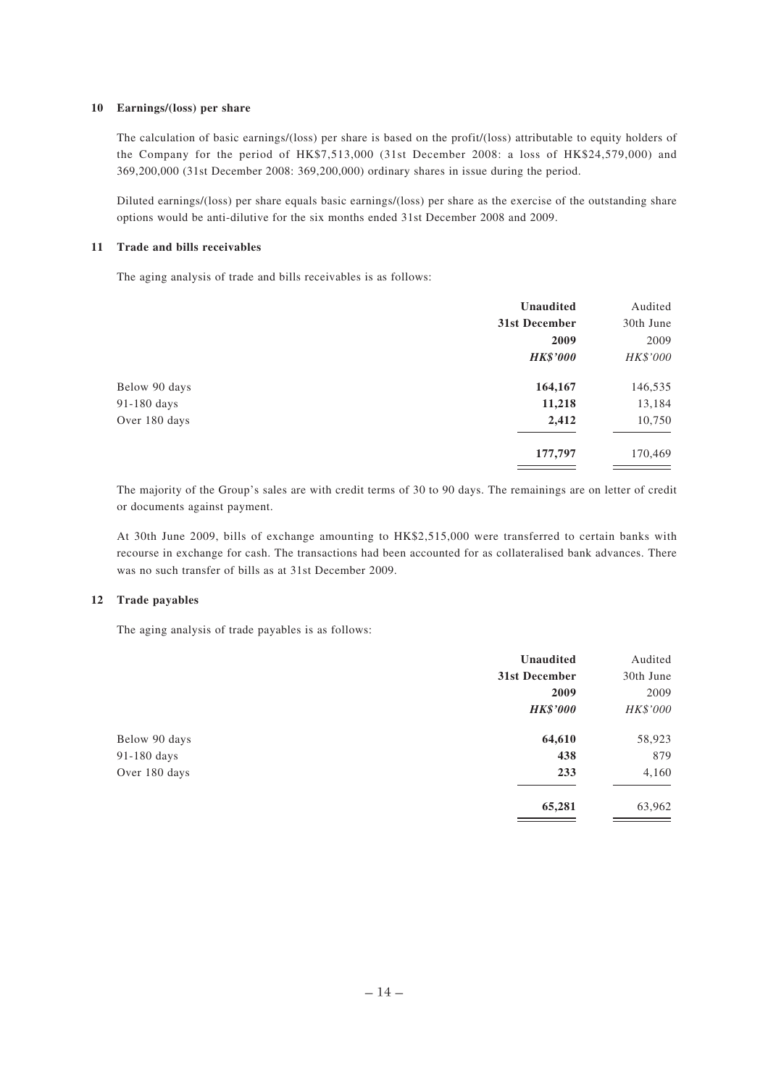#### **10 Earnings/(loss) per share**

The calculation of basic earnings/(loss) per share is based on the profit/(loss) attributable to equity holders of the Company for the period of HK\$7,513,000 (31st December 2008: a loss of HK\$24,579,000) and 369,200,000 (31st December 2008: 369,200,000) ordinary shares in issue during the period.

Diluted earnings/(loss) per share equals basic earnings/(loss) per share as the exercise of the outstanding share options would be anti-dilutive for the six months ended 31st December 2008 and 2009.

#### **11 Trade and bills receivables**

The aging analysis of trade and bills receivables is as follows:

|               | <b>Unaudited</b> | Audited   |
|---------------|------------------|-----------|
|               | 31st December    | 30th June |
|               | 2009             | 2009      |
|               | <b>HK\$'000</b>  | HK\$'000  |
| Below 90 days | 164,167          | 146,535   |
| 91-180 days   | 11,218           | 13,184    |
| Over 180 days | 2,412            | 10,750    |
|               | 177,797          | 170,469   |

The majority of the Group's sales are with credit terms of 30 to 90 days. The remainings are on letter of credit or documents against payment.

At 30th June 2009, bills of exchange amounting to HK\$2,515,000 were transferred to certain banks with recourse in exchange for cash. The transactions had been accounted for as collateralised bank advances. There was no such transfer of bills as at 31st December 2009.

### **12 Trade payables**

The aging analysis of trade payables is as follows:

|               | <b>Unaudited</b> | Audited   |
|---------------|------------------|-----------|
|               | 31st December    | 30th June |
|               | 2009             | 2009      |
|               | <b>HK\$'000</b>  | HK\$'000  |
| Below 90 days | 64,610           | 58,923    |
| 91-180 days   | 438              | 879       |
| Over 180 days | 233              | 4,160     |
|               | 65,281           | 63,962    |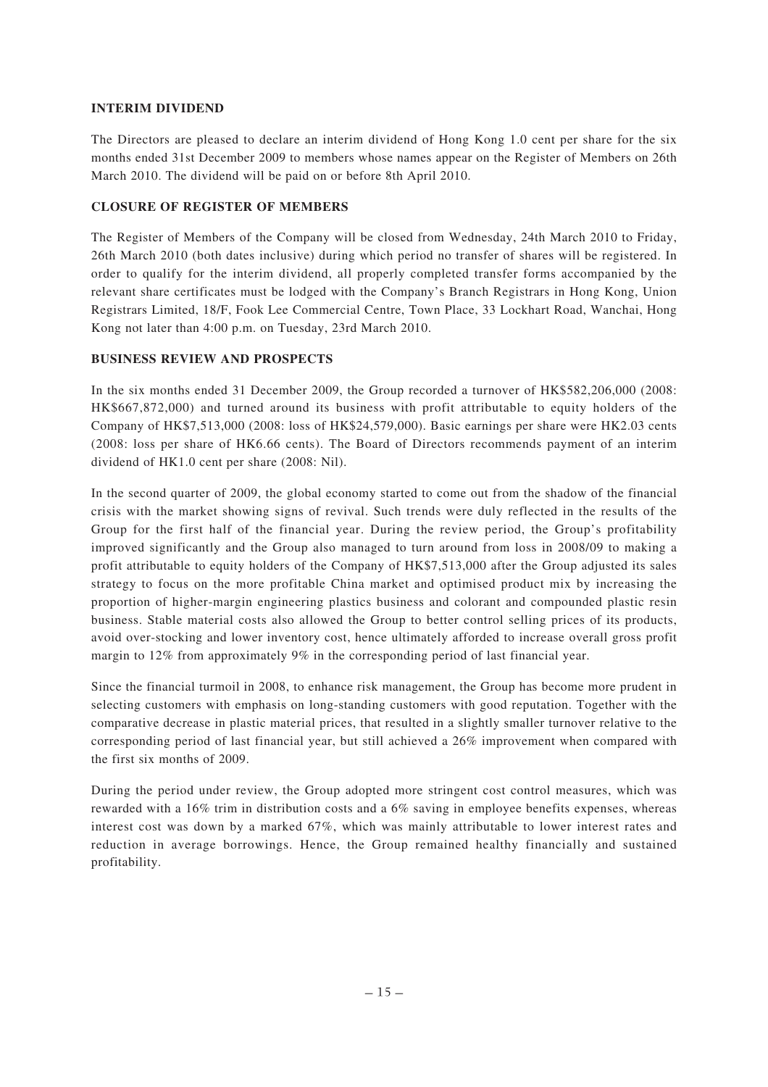# **INTERIM DIVIDEND**

The Directors are pleased to declare an interim dividend of Hong Kong 1.0 cent per share for the six months ended 31st December 2009 to members whose names appear on the Register of Members on 26th March 2010. The dividend will be paid on or before 8th April 2010.

# **CLOSURE OF REGISTER OF MEMBERS**

The Register of Members of the Company will be closed from Wednesday, 24th March 2010 to Friday, 26th March 2010 (both dates inclusive) during which period no transfer of shares will be registered. In order to qualify for the interim dividend, all properly completed transfer forms accompanied by the relevant share certificates must be lodged with the Company's Branch Registrars in Hong Kong, Union Registrars Limited, 18/F, Fook Lee Commercial Centre, Town Place, 33 Lockhart Road, Wanchai, Hong Kong not later than 4:00 p.m. on Tuesday, 23rd March 2010.

# **BUSINESS REVIEW AND PROSPECTS**

In the six months ended 31 December 2009, the Group recorded a turnover of HK\$582,206,000 (2008: HK\$667,872,000) and turned around its business with profit attributable to equity holders of the Company of HK\$7,513,000 (2008: loss of HK\$24,579,000). Basic earnings per share were HK2.03 cents (2008: loss per share of HK6.66 cents). The Board of Directors recommends payment of an interim dividend of HK1.0 cent per share (2008: Nil).

In the second quarter of 2009, the global economy started to come out from the shadow of the financial crisis with the market showing signs of revival. Such trends were duly reflected in the results of the Group for the first half of the financial year. During the review period, the Group's profitability improved significantly and the Group also managed to turn around from loss in 2008/09 to making a profit attributable to equity holders of the Company of HK\$7,513,000 after the Group adjusted its sales strategy to focus on the more profitable China market and optimised product mix by increasing the proportion of higher-margin engineering plastics business and colorant and compounded plastic resin business. Stable material costs also allowed the Group to better control selling prices of its products, avoid over-stocking and lower inventory cost, hence ultimately afforded to increase overall gross profit margin to 12% from approximately 9% in the corresponding period of last financial year.

Since the financial turmoil in 2008, to enhance risk management, the Group has become more prudent in selecting customers with emphasis on long-standing customers with good reputation. Together with the comparative decrease in plastic material prices, that resulted in a slightly smaller turnover relative to the corresponding period of last financial year, but still achieved a 26% improvement when compared with the first six months of 2009.

During the period under review, the Group adopted more stringent cost control measures, which was rewarded with a 16% trim in distribution costs and a 6% saving in employee benefits expenses, whereas interest cost was down by a marked 67%, which was mainly attributable to lower interest rates and reduction in average borrowings. Hence, the Group remained healthy financially and sustained profitability.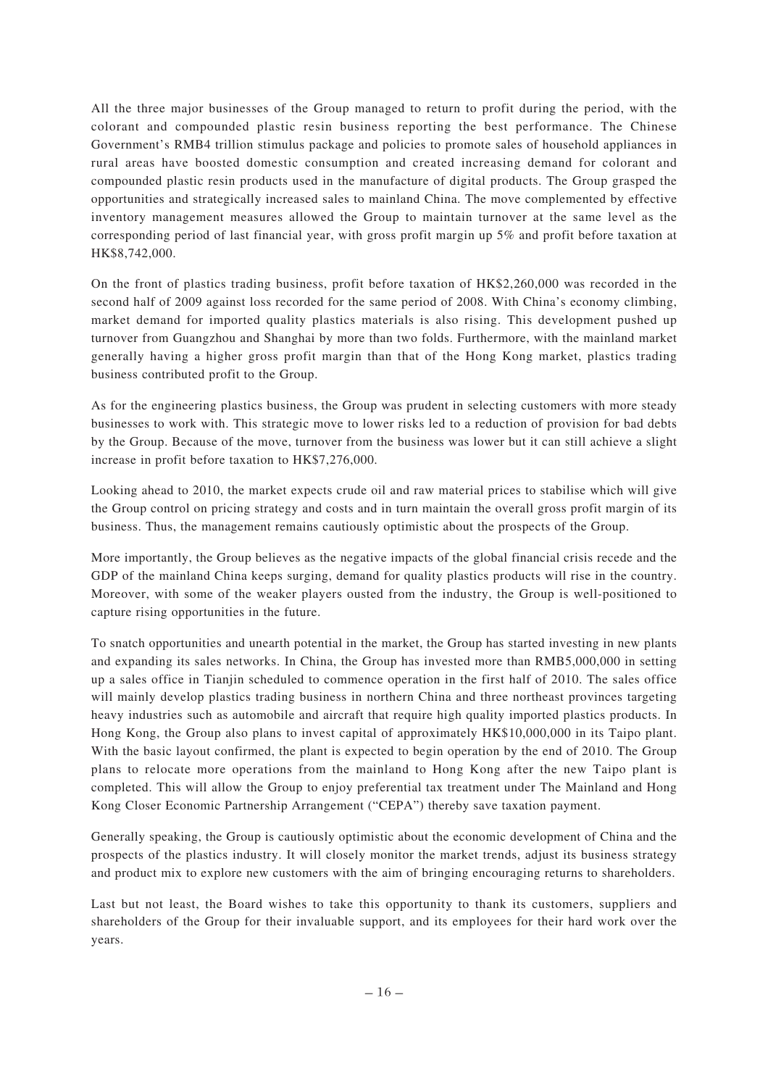All the three major businesses of the Group managed to return to profit during the period, with the colorant and compounded plastic resin business reporting the best performance. The Chinese Government's RMB4 trillion stimulus package and policies to promote sales of household appliances in rural areas have boosted domestic consumption and created increasing demand for colorant and compounded plastic resin products used in the manufacture of digital products. The Group grasped the opportunities and strategically increased sales to mainland China. The move complemented by effective inventory management measures allowed the Group to maintain turnover at the same level as the corresponding period of last financial year, with gross profit margin up 5% and profit before taxation at HK\$8,742,000.

On the front of plastics trading business, profit before taxation of HK\$2,260,000 was recorded in the second half of 2009 against loss recorded for the same period of 2008. With China's economy climbing, market demand for imported quality plastics materials is also rising. This development pushed up turnover from Guangzhou and Shanghai by more than two folds. Furthermore, with the mainland market generally having a higher gross profit margin than that of the Hong Kong market, plastics trading business contributed profit to the Group.

As for the engineering plastics business, the Group was prudent in selecting customers with more steady businesses to work with. This strategic move to lower risks led to a reduction of provision for bad debts by the Group. Because of the move, turnover from the business was lower but it can still achieve a slight increase in profit before taxation to HK\$7,276,000.

Looking ahead to 2010, the market expects crude oil and raw material prices to stabilise which will give the Group control on pricing strategy and costs and in turn maintain the overall gross profit margin of its business. Thus, the management remains cautiously optimistic about the prospects of the Group.

More importantly, the Group believes as the negative impacts of the global financial crisis recede and the GDP of the mainland China keeps surging, demand for quality plastics products will rise in the country. Moreover, with some of the weaker players ousted from the industry, the Group is well-positioned to capture rising opportunities in the future.

To snatch opportunities and unearth potential in the market, the Group has started investing in new plants and expanding its sales networks. In China, the Group has invested more than RMB5,000,000 in setting up a sales office in Tianjin scheduled to commence operation in the first half of 2010. The sales office will mainly develop plastics trading business in northern China and three northeast provinces targeting heavy industries such as automobile and aircraft that require high quality imported plastics products. In Hong Kong, the Group also plans to invest capital of approximately HK\$10,000,000 in its Taipo plant. With the basic layout confirmed, the plant is expected to begin operation by the end of 2010. The Group plans to relocate more operations from the mainland to Hong Kong after the new Taipo plant is completed. This will allow the Group to enjoy preferential tax treatment under The Mainland and Hong Kong Closer Economic Partnership Arrangement ("CEPA") thereby save taxation payment.

Generally speaking, the Group is cautiously optimistic about the economic development of China and the prospects of the plastics industry. It will closely monitor the market trends, adjust its business strategy and product mix to explore new customers with the aim of bringing encouraging returns to shareholders.

Last but not least, the Board wishes to take this opportunity to thank its customers, suppliers and shareholders of the Group for their invaluable support, and its employees for their hard work over the years.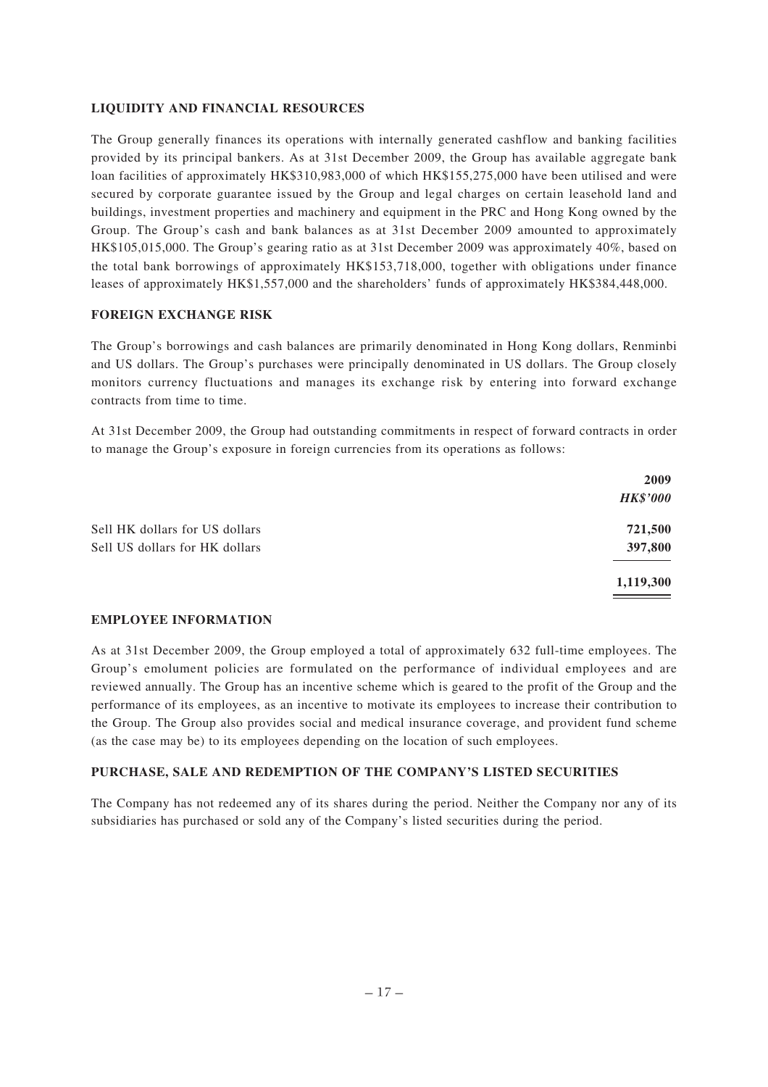# **LIQUIDITY AND FINANCIAL RESOURCES**

The Group generally finances its operations with internally generated cashflow and banking facilities provided by its principal bankers. As at 31st December 2009, the Group has available aggregate bank loan facilities of approximately HK\$310,983,000 of which HK\$155,275,000 have been utilised and were secured by corporate guarantee issued by the Group and legal charges on certain leasehold land and buildings, investment properties and machinery and equipment in the PRC and Hong Kong owned by the Group. The Group's cash and bank balances as at 31st December 2009 amounted to approximately HK\$105,015,000. The Group's gearing ratio as at 31st December 2009 was approximately 40%, based on the total bank borrowings of approximately HK\$153,718,000, together with obligations under finance leases of approximately HK\$1,557,000 and the shareholders' funds of approximately HK\$384,448,000.

# **FOREIGN EXCHANGE RISK**

The Group's borrowings and cash balances are primarily denominated in Hong Kong dollars, Renminbi and US dollars. The Group's purchases were principally denominated in US dollars. The Group closely monitors currency fluctuations and manages its exchange risk by entering into forward exchange contracts from time to time.

At 31st December 2009, the Group had outstanding commitments in respect of forward contracts in order to manage the Group's exposure in foreign currencies from its operations as follows:

|                                | 2009            |
|--------------------------------|-----------------|
|                                | <b>HK\$'000</b> |
| Sell HK dollars for US dollars | 721,500         |
| Sell US dollars for HK dollars | 397,800         |
|                                | 1,119,300       |
|                                |                 |

# **EMPLOYEE INFORMATION**

As at 31st December 2009, the Group employed a total of approximately 632 full-time employees. The Group's emolument policies are formulated on the performance of individual employees and are reviewed annually. The Group has an incentive scheme which is geared to the profit of the Group and the performance of its employees, as an incentive to motivate its employees to increase their contribution to the Group. The Group also provides social and medical insurance coverage, and provident fund scheme (as the case may be) to its employees depending on the location of such employees.

# **PURCHASE, SALE AND REDEMPTION OF THE COMPANY'S LISTED SECURITIES**

The Company has not redeemed any of its shares during the period. Neither the Company nor any of its subsidiaries has purchased or sold any of the Company's listed securities during the period.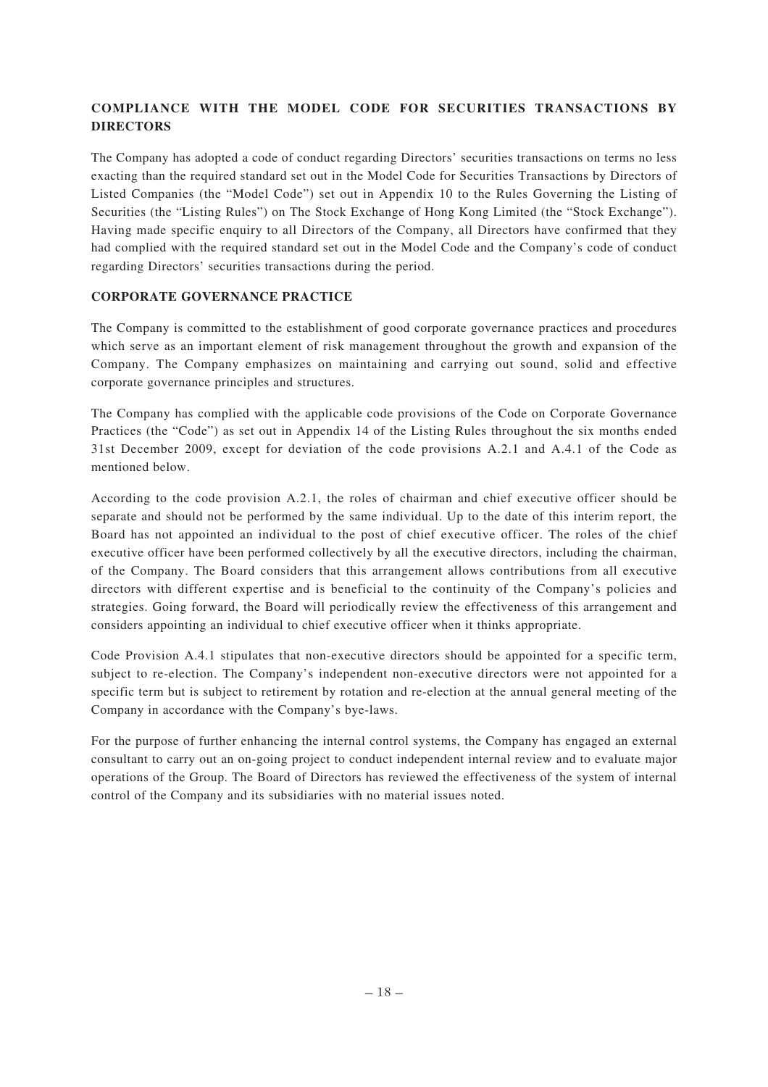# **COMPLIANCE WITH THE MODEL CODE FOR SECURITIES TRANSACTIONS BY DIRECTORS**

The Company has adopted a code of conduct regarding Directors' securities transactions on terms no less exacting than the required standard set out in the Model Code for Securities Transactions by Directors of Listed Companies (the "Model Code") set out in Appendix 10 to the Rules Governing the Listing of Securities (the "Listing Rules") on The Stock Exchange of Hong Kong Limited (the "Stock Exchange"). Having made specific enquiry to all Directors of the Company, all Directors have confirmed that they had complied with the required standard set out in the Model Code and the Company's code of conduct regarding Directors' securities transactions during the period.

# **CORPORATE GOVERNANCE PRACTICE**

The Company is committed to the establishment of good corporate governance practices and procedures which serve as an important element of risk management throughout the growth and expansion of the Company. The Company emphasizes on maintaining and carrying out sound, solid and effective corporate governance principles and structures.

The Company has complied with the applicable code provisions of the Code on Corporate Governance Practices (the "Code") as set out in Appendix 14 of the Listing Rules throughout the six months ended 31st December 2009, except for deviation of the code provisions A.2.1 and A.4.1 of the Code as mentioned below.

According to the code provision A.2.1, the roles of chairman and chief executive officer should be separate and should not be performed by the same individual. Up to the date of this interim report, the Board has not appointed an individual to the post of chief executive officer. The roles of the chief executive officer have been performed collectively by all the executive directors, including the chairman, of the Company. The Board considers that this arrangement allows contributions from all executive directors with different expertise and is beneficial to the continuity of the Company's policies and strategies. Going forward, the Board will periodically review the effectiveness of this arrangement and considers appointing an individual to chief executive officer when it thinks appropriate.

Code Provision A.4.1 stipulates that non-executive directors should be appointed for a specific term, subject to re-election. The Company's independent non-executive directors were not appointed for a specific term but is subject to retirement by rotation and re-election at the annual general meeting of the Company in accordance with the Company's bye-laws.

For the purpose of further enhancing the internal control systems, the Company has engaged an external consultant to carry out an on-going project to conduct independent internal review and to evaluate major operations of the Group. The Board of Directors has reviewed the effectiveness of the system of internal control of the Company and its subsidiaries with no material issues noted.